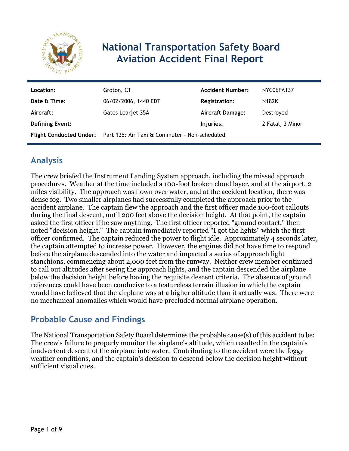

# **National Transportation Safety Board Aviation Accident Final Report**

| Location:              | Groton, CT                                                            | <b>Accident Number:</b> | NYC06FA137       |
|------------------------|-----------------------------------------------------------------------|-------------------------|------------------|
| Date & Time:           | 06/02/2006, 1440 EDT                                                  | <b>Registration:</b>    | N182K            |
| Aircraft:              | Gates Learjet 35A                                                     | <b>Aircraft Damage:</b> | Destroyed        |
| <b>Defining Event:</b> |                                                                       | Injuries:               | 2 Fatal, 3 Minor |
|                        | Flight Conducted Under: Part 135: Air Taxi & Commuter - Non-scheduled |                         |                  |

# **Analysis**

The crew briefed the Instrument Landing System approach, including the missed approach procedures. Weather at the time included a 100-foot broken cloud layer, and at the airport, 2 miles visibility. The approach was flown over water, and at the accident location, there was dense fog. Two smaller airplanes had successfully completed the approach prior to the accident airplane. The captain flew the approach and the first officer made 100-foot callouts during the final descent, until 200 feet above the decision height. At that point, the captain asked the first officer if he saw anything. The first officer reported "ground contact," then noted "decision height." The captain immediately reported "I got the lights" which the first officer confirmed. The captain reduced the power to flight idle. Approximately 4 seconds later, the captain attempted to increase power. However, the engines did not have time to respond before the airplane descended into the water and impacted a series of approach light stanchions, commencing about 2,000 feet from the runway. Neither crew member continued to call out altitudes after seeing the approach lights, and the captain descended the airplane below the decision height before having the requisite descent criteria. The absence of ground references could have been conducive to a featureless terrain illusion in which the captain would have believed that the airplane was at a higher altitude than it actually was. There were no mechanical anomalies which would have precluded normal airplane operation.

### **Probable Cause and Findings**

The National Transportation Safety Board determines the probable cause(s) of this accident to be: The crew's failure to properly monitor the airplane's altitude, which resulted in the captain's inadvertent descent of the airplane into water. Contributing to the accident were the foggy weather conditions, and the captain's decision to descend below the decision height without sufficient visual cues.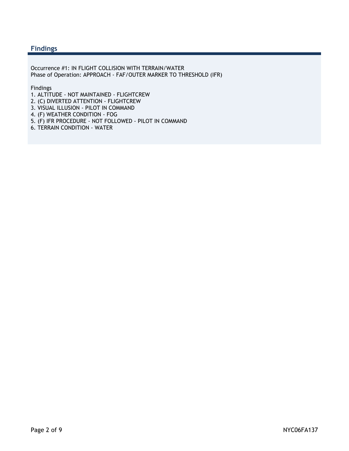#### **Findings**

Occurrence #1: IN FLIGHT COLLISION WITH TERRAIN/WATER Phase of Operation: APPROACH - FAF/OUTER MARKER TO THRESHOLD (IFR)

Findings

- 1. ALTITUDE NOT MAINTAINED FLIGHTCREW
- 2. (C) DIVERTED ATTENTION FLIGHTCREW
- 3. VISUAL ILLUSION PILOT IN COMMAND
- 4. (F) WEATHER CONDITION FOG
- 5. (F) IFR PROCEDURE NOT FOLLOWED PILOT IN COMMAND
- 6. TERRAIN CONDITION WATER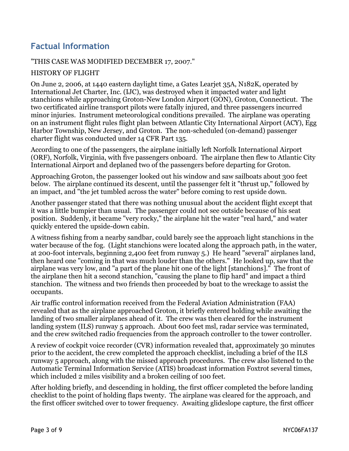## **Factual Information**

#### "THIS CASE WAS MODIFIED DECEMBER 17, 2007."

#### HISTORY OF FLIGHT

On June 2, 2006, at 1440 eastern daylight time, a Gates Learjet 35A, N182K, operated by International Jet Charter, Inc. (IJC), was destroyed when it impacted water and light stanchions while approaching Groton-New London Airport (GON), Groton, Connecticut. The two certificated airline transport pilots were fatally injured, and three passengers incurred minor injuries. Instrument meteorological conditions prevailed. The airplane was operating on an instrument flight rules flight plan between Atlantic City International Airport (ACY), Egg Harbor Township, New Jersey, and Groton. The non-scheduled (on-demand) passenger charter flight was conducted under 14 CFR Part 135.

According to one of the passengers, the airplane initially left Norfolk International Airport (ORF), Norfolk, Virginia, with five passengers onboard. The airplane then flew to Atlantic City International Airport and deplaned two of the passengers before departing for Groton.

Approaching Groton, the passenger looked out his window and saw sailboats about 300 feet below. The airplane continued its descent, until the passenger felt it "thrust up," followed by an impact, and "the jet tumbled across the water" before coming to rest upside down.

Another passenger stated that there was nothing unusual about the accident flight except that it was a little bumpier than usual. The passenger could not see outside because of his seat position. Suddenly, it became "very rocky," the airplane hit the water "real hard," and water quickly entered the upside-down cabin.

A witness fishing from a nearby sandbar, could barely see the approach light stanchions in the water because of the fog. (Light stanchions were located along the approach path, in the water, at 200-foot intervals, beginning 2,400 feet from runway 5.) He heard "several" airplanes land, then heard one "coming in that was much louder than the others." He looked up, saw that the airplane was very low, and "a part of the plane hit one of the light [stanchions]." The front of the airplane then hit a second stanchion, "causing the plane to flip hard" and impact a third stanchion. The witness and two friends then proceeded by boat to the wreckage to assist the occupants.

Air traffic control information received from the Federal Aviation Administration (FAA) revealed that as the airplane approached Groton, it briefly entered holding while awaiting the landing of two smaller airplanes ahead of it. The crew was then cleared for the instrument landing system (ILS) runway 5 approach. About 600 feet msl, radar service was terminated, and the crew switched radio frequencies from the approach controller to the tower controller.

A review of cockpit voice recorder (CVR) information revealed that, approximately 30 minutes prior to the accident, the crew completed the approach checklist, including a brief of the ILS runway 5 approach, along with the missed approach procedures. The crew also listened to the Automatic Terminal Information Service (ATIS) broadcast information Foxtrot several times, which included 2 miles visibility and a broken ceiling of 100 feet.

After holding briefly, and descending in holding, the first officer completed the before landing checklist to the point of holding flaps twenty. The airplane was cleared for the approach, and the first officer switched over to tower frequency. Awaiting glideslope capture, the first officer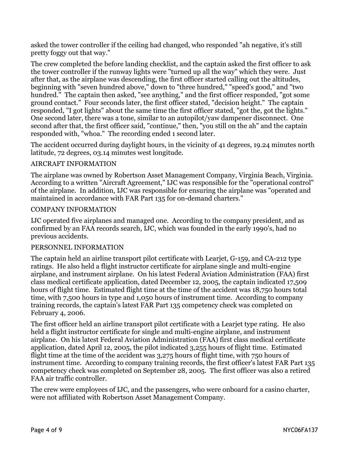asked the tower controller if the ceiling had changed, who responded "ah negative, it's still pretty foggy out that way."

The crew completed the before landing checklist, and the captain asked the first officer to ask the tower controller if the runway lights were "turned up all the way" which they were. Just after that, as the airplane was descending, the first officer started calling out the altitudes, beginning with "seven hundred above," down to "three hundred," "speed's good," and "two hundred." The captain then asked, "see anything," and the first officer responded, "got some ground contact." Four seconds later, the first officer stated, "decision height." The captain responded, "I got lights" about the same time the first officer stated, "got the, got the lights." One second later, there was a tone, similar to an autopilot/yaw dampener disconnect. One second after that, the first officer said, "continue," then, "you still on the ah" and the captain responded with, "whoa." The recording ended 1 second later.

The accident occurred during daylight hours, in the vicinity of 41 degrees, 19.24 minutes north latitude, 72 degrees, 03.14 minutes west longitude.

#### AIRCRAFT INFORMATION

The airplane was owned by Robertson Asset Management Company, Virginia Beach, Virginia. According to a written "Aircraft Agreement," IJC was responsible for the "operational control" of the airplane. In addition, IJC was responsible for ensuring the airplane was "operated and maintained in accordance with FAR Part 135 for on-demand charters."

#### COMPANY INFORMATION

IJC operated five airplanes and managed one. According to the company president, and as confirmed by an FAA records search, IJC, which was founded in the early 1990's, had no previous accidents.

#### PERSONNEL INFORMATION

The captain held an airline transport pilot certificate with Learjet, G-159, and CA-212 type ratings. He also held a flight instructor certificate for airplane single and multi-engine airplane, and instrument airplane. On his latest Federal Aviation Administration (FAA) first class medical certificate application, dated December 12, 2005, the captain indicated 17,509 hours of flight time. Estimated flight time at the time of the accident was 18,750 hours total time, with 7,500 hours in type and 1,050 hours of instrument time. According to company training records, the captain's latest FAR Part 135 competency check was completed on February 4, 2006.

The first officer held an airline transport pilot certificate with a Learjet type rating. He also held a flight instructor certificate for single and multi-engine airplane, and instrument airplane. On his latest Federal Aviation Administration (FAA) first class medical certificate application, dated April 12, 2005, the pilot indicated 3,255 hours of flight time. Estimated flight time at the time of the accident was 3,275 hours of flight time, with 750 hours of instrument time. According to company training records, the first officer's latest FAR Part 135 competency check was completed on September 28, 2005. The first officer was also a retired FAA air traffic controller.

The crew were employees of IJC, and the passengers, who were onboard for a casino charter, were not affiliated with Robertson Asset Management Company.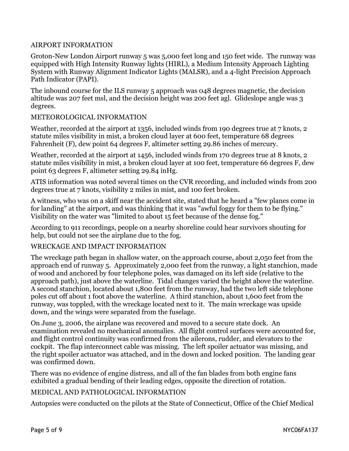#### AIRPORT INFORMATION

Groton-New London Airport runway 5 was 5,000 feet long and 150 feet wide. The runway was equipped with High Intensity Runway lights (HIRL), a Medium Intensity Approach Lighting System with Runway Alignment Indicator Lights (MALSR), and a 4-light Precision Approach Path Indicator (PAPI).

The inbound course for the ILS runway 5 approach was 048 degrees magnetic, the decision altitude was 207 feet msl, and the decision height was 200 feet agl. Glideslope angle was 3 degrees.

#### METEOROLOGICAL INFORMATION

Weather, recorded at the airport at 1356, included winds from 190 degrees true at 7 knots, 2 statute miles visibility in mist, a broken cloud layer at 600 feet, temperature 68 degrees Fahrenheit (F), dew point 64 degrees F, altimeter setting 29.86 inches of mercury.

Weather, recorded at the airport at 1456, included winds from 170 degrees true at 8 knots, 2 statute miles visibility in mist, a broken cloud layer at 100 feet, temperature 66 degrees F, dew point 63 degrees F, altimeter setting 29.84 inHg.

ATIS information was noted several times on the CVR recording, and included winds from 200 degrees true at 7 knots, visibility 2 miles in mist, and 100 feet broken.

A witness, who was on a skiff near the accident site, stated that he heard a "few planes come in for landing" at the airport, and was thinking that it was "awful foggy for them to be flying." Visibility on the water was "limited to about 15 feet because of the dense fog."

According to 911 recordings, people on a nearby shoreline could hear survivors shouting for help, but could not see the airplane due to the fog.

#### WRECKAGE AND IMPACT INFORMATION

The wreckage path began in shallow water, on the approach course, about 2,050 feet from the approach end of runway 5. Approximately 2,000 feet from the runway, a light stanchion, made of wood and anchored by four telephone poles, was damaged on its left side (relative to the approach path), just above the waterline. Tidal changes varied the height above the waterline. A second stanchion, located about 1,800 feet from the runway, had the two left side telephone poles cut off about 1 foot above the waterline. A third stanchion, about 1,600 feet from the runway, was toppled, with the wreckage located next to it. The main wreckage was upside down, and the wings were separated from the fuselage.

On June 3, 2006, the airplane was recovered and moved to a secure state dock. An examination revealed no mechanical anomalies. All flight control surfaces were accounted for, and flight control continuity was confirmed from the ailerons, rudder, and elevators to the cockpit. The flap interconnect cable was missing. The left spoiler actuator was missing, and the right spoiler actuator was attached, and in the down and locked position. The landing gear was confirmed down.

There was no evidence of engine distress, and all of the fan blades from both engine fans exhibited a gradual bending of their leading edges, opposite the direction of rotation.

#### MEDICAL AND PATHOLOGICAL INFORMATION

Autopsies were conducted on the pilots at the State of Connecticut, Office of the Chief Medical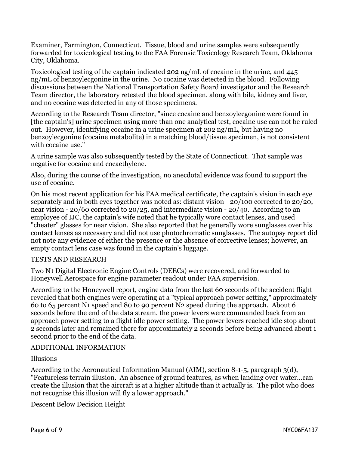Examiner, Farmington, Connecticut. Tissue, blood and urine samples were subsequently forwarded for toxicological testing to the FAA Forensic Toxicology Research Team, Oklahoma City, Oklahoma.

Toxicological testing of the captain indicated 202 ng/mL of cocaine in the urine, and 445 ng/mL of benzoylecgonine in the urine. No cocaine was detected in the blood. Following discussions between the National Transportation Safety Board investigator and the Research Team director, the laboratory retested the blood specimen, along with bile, kidney and liver, and no cocaine was detected in any of those specimens.

According to the Research Team director, "since cocaine and benzoylecgonine were found in [the captain's] urine specimen using more than one analytical test, cocaine use can not be ruled out. However, identifying cocaine in a urine specimen at 202 ng/mL, but having no benzoylecgonine (cocaine metabolite) in a matching blood/tissue specimen, is not consistent with cocaine use."

A urine sample was also subsequently tested by the State of Connecticut. That sample was negative for cocaine and cocaethylene.

Also, during the course of the investigation, no anecdotal evidence was found to support the use of cocaine.

On his most recent application for his FAA medical certificate, the captain's vision in each eye separately and in both eyes together was noted as: distant vision - 20/100 corrected to 20/20, near vision - 20/60 corrected to 20/25, and intermediate vision - 20/40. According to an employee of IJC, the captain's wife noted that he typically wore contact lenses, and used "cheater" glasses for near vision. She also reported that he generally wore sunglasses over his contact lenses as necessary and did not use photochromatic sunglasses. The autopsy report did not note any evidence of either the presence or the absence of corrective lenses; however, an empty contact lens case was found in the captain's luggage.

#### TESTS AND RESEARCH

Two N1 Digital Electronic Engine Controls (DEECs) were recovered, and forwarded to Honeywell Aerospace for engine parameter readout under FAA supervision.

According to the Honeywell report, engine data from the last 60 seconds of the accident flight revealed that both engines were operating at a "typical approach power setting," approximately 60 to 65 percent N1 speed and 80 to 90 percent N2 speed during the approach. About 6 seconds before the end of the data stream, the power levers were commanded back from an approach power setting to a flight idle power setting. The power levers reached idle stop about 2 seconds later and remained there for approximately 2 seconds before being advanced about 1 second prior to the end of the data.

#### ADDITIONAL INFORMATION

Illusions

According to the Aeronautical Information Manual (AIM), section 8-1-5, paragraph 3(d), "Featureless terrain illusion. An absence of ground features, as when landing over water...can create the illusion that the aircraft is at a higher altitude than it actually is. The pilot who does not recognize this illusion will fly a lower approach."

Descent Below Decision Height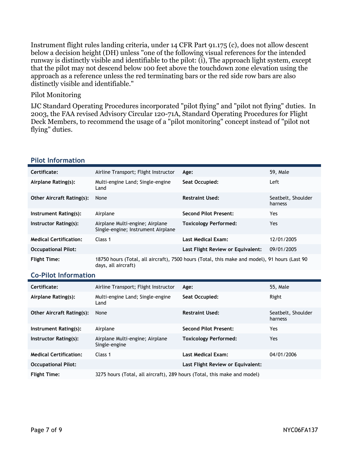Instrument flight rules landing criteria, under 14 CFR Part 91.175 (c), does not allow descent below a decision height (DH) unless "one of the following visual references for the intended runway is distinctly visible and identifiable to the pilot: (i), The approach light system, except that the pilot may not descend below 100 feet above the touchdown zone elevation using the approach as a reference unless the red terminating bars or the red side row bars are also distinctly visible and identifiable."

#### Pilot Monitoring

IJC Standard Operating Procedures incorporated "pilot flying" and "pilot not flying" duties. In 2003, the FAA revised Advisory Circular 120-71A, Standard Operating Procedures for Flight Deck Members, to recommend the usage of a "pilot monitoring" concept instead of "pilot not flying" duties.

| Certificate:                     | Airline Transport; Flight Instructor                                  | Age:                                                                                          | 59, Male                      |
|----------------------------------|-----------------------------------------------------------------------|-----------------------------------------------------------------------------------------------|-------------------------------|
| Airplane Rating(s):              | Multi-engine Land; Single-engine<br>Land                              | Seat Occupied:                                                                                | Left                          |
| <b>Other Aircraft Rating(s):</b> | None                                                                  | <b>Restraint Used:</b>                                                                        | Seatbelt, Shoulder<br>harness |
| Instrument Rating(s):            | Airplane                                                              | <b>Second Pilot Present:</b>                                                                  | Yes.                          |
| Instructor Rating(s):            | Airplane Multi-engine; Airplane<br>Single-engine; Instrument Airplane | <b>Toxicology Performed:</b>                                                                  | Yes.                          |
| <b>Medical Certification:</b>    | Class 1                                                               | <b>Last Medical Exam:</b>                                                                     | 12/01/2005                    |
| <b>Occupational Pilot:</b>       |                                                                       | Last Flight Review or Equivalent:                                                             | 09/01/2005                    |
| <b>Flight Time:</b>              | days, all aircraft)                                                   | 18750 hours (Total, all aircraft), 7500 hours (Total, this make and model), 91 hours (Last 90 |                               |
| <b>Co-Pilot Information</b>      |                                                                       |                                                                                               |                               |

#### **Pilot Information**

| Certificate:                     | Airline Transport; Flight Instructor                                     | Age:                              | 55, Male                      |
|----------------------------------|--------------------------------------------------------------------------|-----------------------------------|-------------------------------|
| Airplane Rating(s):              | Multi-engine Land; Single-engine<br>Land                                 | Seat Occupied:                    | Right                         |
| <b>Other Aircraft Rating(s):</b> | None                                                                     | <b>Restraint Used:</b>            | Seatbelt, Shoulder<br>harness |
| Instrument Rating(s):            | Airplane                                                                 | <b>Second Pilot Present:</b>      | Yes.                          |
| Instructor Rating(s):            | Airplane Multi-engine; Airplane<br>Single-engine                         | <b>Toxicology Performed:</b>      | Yes.                          |
| <b>Medical Certification:</b>    | Class 1                                                                  | <b>Last Medical Exam:</b>         | 04/01/2006                    |
| <b>Occupational Pilot:</b>       |                                                                          | Last Flight Review or Equivalent: |                               |
| <b>Flight Time:</b>              | 3275 hours (Total, all aircraft), 289 hours (Total, this make and model) |                                   |                               |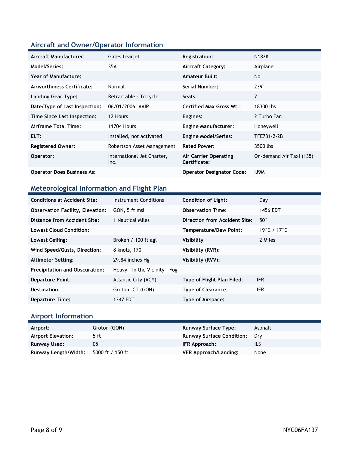### **Aircraft and Owner/Operator Information**

| Aircraft Manufacturer:            | Gates Learjet                      | <b>Registration:</b>                  | <b>N182K</b>             |
|-----------------------------------|------------------------------------|---------------------------------------|--------------------------|
| Model/Series:                     | 35A                                | <b>Aircraft Category:</b>             | Airplane                 |
| Year of Manufacture:              |                                    | <b>Amateur Built:</b>                 | No.                      |
| Airworthiness Certificate:        | Normal                             | Serial Number:                        | 239                      |
| <b>Landing Gear Type:</b>         | Retractable - Tricycle             | Seats:                                | 7                        |
| Date/Type of Last Inspection:     | 06/01/2006, AAIP                   | Certified Max Gross Wt.:              | 18300 lbs                |
| Time Since Last Inspection:       | 12 Hours                           | Engines:                              | 2 Turbo Fan              |
| Airframe Total Time:              | <b>11704 Hours</b>                 | <b>Engine Manufacturer:</b>           | Honeywell                |
| ELT:                              | Installed, not activated           | <b>Engine Model/Series:</b>           | TFE731-2-2B              |
| <b>Registered Owner:</b>          | Robertson Asset Management         | <b>Rated Power:</b>                   | 3500 lbs                 |
| Operator:                         | International Jet Charter,<br>Inc. | Air Carrier Operating<br>Certificate: | On-demand Air Taxi (135) |
| <b>Operator Does Business As:</b> |                                    | <b>Operator Designator Code:</b>      | <b>IJ9M</b>              |

### **Meteorological Information and Flight Plan**

| <b>Conditions at Accident Site:</b>     | Instrument Conditions         | <b>Condition of Light:</b>    | Day          |
|-----------------------------------------|-------------------------------|-------------------------------|--------------|
| <b>Observation Facility, Elevation:</b> | GON, 5 ft msl                 | <b>Observation Time:</b>      | 1456 EDT     |
| Distance from Accident Site:            | 1 Nautical Miles              | Direction from Accident Site: | $50^{\circ}$ |
| Lowest Cloud Condition:                 |                               | <b>Temperature/Dew Point:</b> | 19°C / 17°C  |
| Lowest Ceiling:                         | Broken / 100 ft agl           | <b>Visibility</b>             | 2 Miles      |
| Wind Speed/Gusts, Direction:            | 8 knots, 170°                 | Visibility (RVR):             |              |
| <b>Altimeter Setting:</b>               | 29.84 inches Hg               | Visibility (RVV):             |              |
| <b>Precipitation and Obscuration:</b>   | Heavy - In the Vicinity - Fog |                               |              |
| <b>Departure Point:</b>                 | Atlantic City (ACY)           | Type of Flight Plan Filed:    | <b>IFR</b>   |
| Destination:                            | Groton, CT (GON)              | <b>Type of Clearance:</b>     | IFR.         |
| <b>Departure Time:</b>                  | 1347 EDT                      | Type of Airspace:             |              |

# **Airport Information**

| Airport:             | Groton (GON)     | <b>Runway Surface Type:</b>      | Asphalt |
|----------------------|------------------|----------------------------------|---------|
| Airport Elevation:   | 5 ft             | <b>Runway Surface Condition:</b> | Drv     |
| Runway Used:         | 05               | IFR Approach:                    | ils     |
| Runway Length/Width: | 5000 ft / 150 ft | VFR Approach/Landing:            | None    |